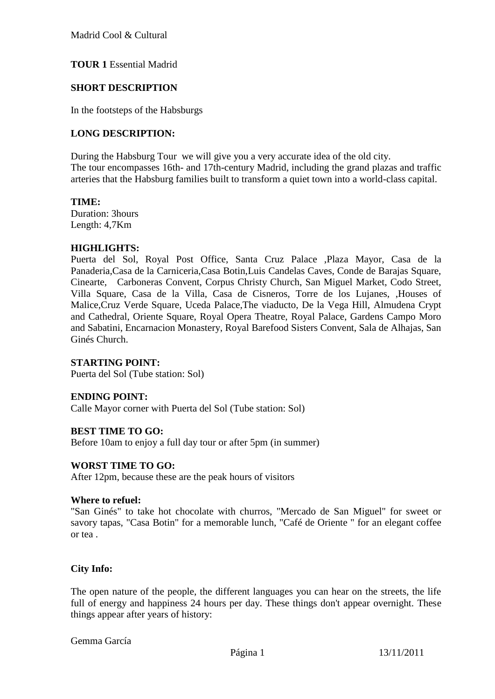Madrid Cool & Cultural

# **TOUR 1** Essential Madrid

### **SHORT DESCRIPTION**

In the footsteps of the Habsburgs

### **LONG DESCRIPTION:**

During the Habsburg Tour we will give you a very accurate idea of the old city. The tour encompasses 16th- and 17th-century Madrid, including the grand plazas and traffic arteries that the Habsburg families built to transform a quiet town into a world-class capital.

#### **TIME:**

Duration: 3hours Length: 4,7Km

#### **HIGHLIGHTS:**

Puerta del Sol, Royal Post Office, Santa Cruz Palace ,Plaza Mayor, Casa de la Panaderia,Casa de la Carniceria,Casa Botin,Luis Candelas Caves, Conde de Barajas Square, Cinearte, Carboneras Convent, Corpus Christy Church, San Miguel Market, Codo Street, Villa Square, Casa de la Villa, Casa de Cisneros, Torre de los Lujanes, ,Houses of Malice,Cruz Verde Square, Uceda Palace,The viaducto, De la Vega Hill, Almudena Crypt and Cathedral, Oriente Square, Royal Opera Theatre, Royal Palace, Gardens Campo Moro and Sabatini, Encarnacion Monastery, Royal Barefood Sisters Convent, Sala de Alhajas, San Ginés Church.

### **STARTING POINT:**

Puerta del Sol (Tube station: Sol)

### **ENDING POINT:**

Calle Mayor corner with Puerta del Sol (Tube station: Sol)

#### **BEST TIME TO GO:**

Before 10am to enjoy a full day tour or after 5pm (in summer)

#### **WORST TIME TO GO:**

After 12pm, because these are the peak hours of visitors

#### **Where to refuel:**

"San Ginés" to take hot chocolate with churros, "Mercado de San Miguel" for sweet or savory tapas, "Casa Botin" for a memorable lunch, "Café de Oriente " for an elegant coffee or tea .

### **City Info:**

The open nature of the people, the different languages you can hear on the streets, the life full of energy and happiness 24 hours per day. These things don't appear overnight. These things appear after years of history: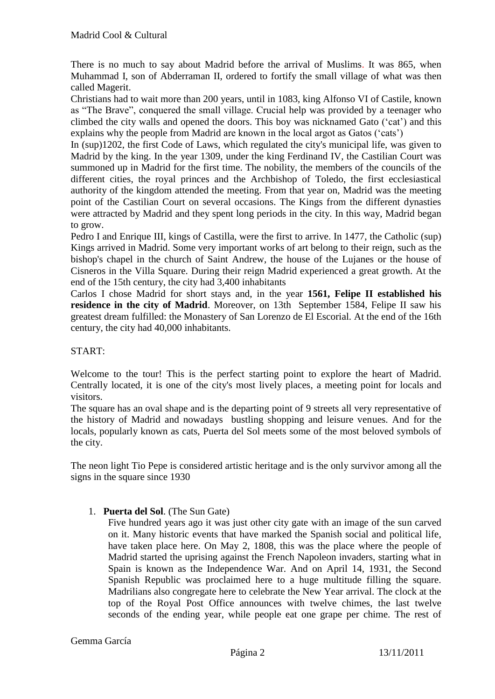There is no much to say about Madrid before the arrival of Muslims. It was 865, when Muhammad I, son of Abderraman II, ordered to fortify the small village of what was then called Magerit.

Christians had to wait more than 200 years, until in 1083, king Alfonso VI of Castile, known as "The Brave", conquered the small village. Crucial help was provided by a teenager who climbed the city walls and opened the doors. This boy was nicknamed [Gato](http://www.turismomadrid.es/en/find-your-plan/10766-de-como-los-madrilenos-fueron-apodados-qgatosq) ("cat") and this explains why the people from Madrid are known in the local argot as Gatos ("cats")

In (sup)1202, the first Code of Laws, which regulated the city's municipal life, was given to Madrid by the king. In the year 1309, under the king Ferdinand IV, the Castilian Court was summoned up in Madrid for the first time. The nobility, the members of the councils of the different cities, the royal princes and the Archbishop of Toledo, the first ecclesiastical authority of the kingdom attended the meeting. From that year on, Madrid was the meeting point of the Castilian Court on several occasions. The Kings from the different dynasties were attracted by Madrid and they spent long periods in the city. In this way, Madrid began to grow.

Pedro I and Enrique III, kings of Castilla, were the first to arrive. In 1477, the Catholic (sup) Kings arrived in Madrid. Some very important works of art belong to their reign, such as the bishop's chapel in the church of Saint Andrew, the [house of the Lujanes](http://www.turismomadrid.es/component/guides/monumento/120) or the house of Cisneros in the Villa Square. During their reign Madrid experienced a great growth. At the end of the 15th century, the city had 3,400 inhabitants

Carlos I chose Madrid for short stays and, in the year **1561, Felipe II established his residence in the city of Madrid**. Moreover, on 13th September 1584, Felipe II saw his greatest dream fulfilled: the [Monastery of San Lorenzo de El Escorial.](http://www.turismomadrid.es/en/component/guides/monumento/55) At the end of the 16th century, the city had 40,000 inhabitants.

### START:

Welcome to the tour! This is the perfect starting point to explore the heart of Madrid. Centrally located, it is one of the city's most lively places, a meeting point for locals and visitors.

The square has an oval shape and is the departing point of 9 streets all very representative of the history of Madrid and nowadays bustling shopping and leisure venues. And for the locals, popularly known as cats, Puerta del Sol meets some of the most beloved symbols of the city.

The neon light Tio Pepe is considered artistic heritage and is the only survivor among all the signs in the square since 1930

### 1. **Puerta del Sol**. (The Sun Gate)

Five hundred years ago it was just other city gate with an image of the sun carved on it. Many historic events that have marked the Spanish social and political life, have taken place here. On May 2, 1808, this was the place where the people of Madrid started the uprising against the French Napoleon invaders, starting what in Spain is known as the Independence War. And on April 14, 1931, the Second Spanish Republic was proclaimed here to a huge multitude filling the square. Madrilians also congregate here to celebrate the New Year arrival. The clock at the top of the Royal Post Office announces with twelve chimes, the last twelve seconds of the ending year, while people eat one grape per chime. The rest of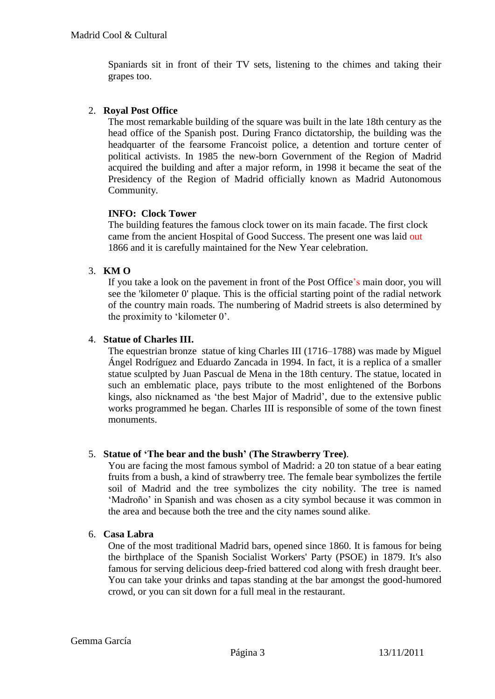Spaniards sit in front of their TV sets, listening to the chimes and taking their grapes too.

### 2. **Royal Post Office**

The most remarkable building of the square was built in the late 18th century as the head office of the Spanish post. During Franco dictatorship, the building was the headquarter of the fearsome Francoist police, a detention and torture center of political activists. In 1985 the new-born Government of the Region of Madrid acquired the building and after a major reform, in 1998 it became the seat of the Presidency of the Region of Madrid officially known as Madrid Autonomous Community.

# **INFO: Clock Tower**

The building features the famous clock tower on its main facade. The first clock came from the ancient Hospital of Good Success. The present one was laid out 1866 and it is carefully maintained for the New Year celebration.

# 3. **KM O**

If you take a look on the pavement in front of the Post Office"s main door, you will see the 'kilometer 0' plaque. This is the official starting point of the radial network of the country main roads. The numbering of Madrid streets is also determined by the proximity to "kilometer 0".

### 4. **Statue of Charles III.**

The equestrian bronze statue of king [Charles III](http://commons.wikimedia.org/wiki/Category:Charles_III_of_Spain) (1716–1788) was made by [Miguel](http://en.wikipedia.org/wiki/Miguel_%C3%81ngel_Rodr%C3%ADguez_(sculptor))  [Ángel Rodríguez](http://en.wikipedia.org/wiki/Miguel_%C3%81ngel_Rodr%C3%ADguez_(sculptor)) and [Eduardo Zancada](http://en.wikipedia.org/wiki/Eduardo_Zancada) in 1994. In fact, it is a replica of a smaller statue sculpted by [Juan Pascual de Mena](http://commons.wikimedia.org/wiki/Category:Juan_Pascual_de_Mena) in the 18th century. The statue, located in such an emblematic place, pays tribute to the most enlightened of the Borbons kings, also nicknamed as "the best Major of Madrid", due to the extensive public works programmed he began. [Charles III](http://commons.wikimedia.org/wiki/Category:Charles_III_of_Spain) is responsible of some of the town finest monuments.

### 5. **Statue of 'The bear and the bush' (The Strawberry Tree)**.

You are facing the most famous symbol of Madrid: a 20 ton statue of a bear eating fruits from a bush, a kind of strawberry tree. The female bear symbolizes the fertile soil of Madrid and the tree symbolizes the city nobility. The tree is named 'Madroño' in Spanish and was chosen as a city symbol because it was common in the area and because both the tree and the city names sound alike.

### 6. **Casa Labra**

One of the most traditional Madrid bars, opened since 1860. It is famous for being the birthplace of the Spanish Socialist Workers' Party (PSOE) in 1879. It's also famous for serving delicious deep-fried battered cod along with fresh draught beer. You can take your drinks and tapas standing at the bar amongst the good-humored crowd, or you can sit down for a full meal in the restaurant.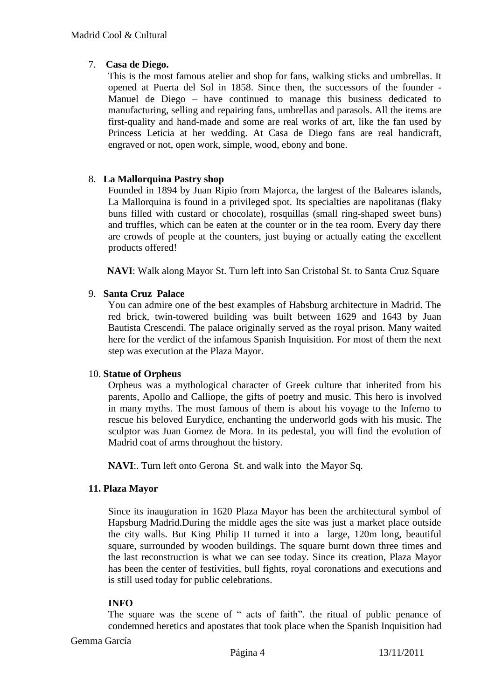# 7. **Casa de Diego.**

This is the most famous atelier and shop for fans, walking sticks and umbrellas. It opened at Puerta del Sol in 1858. Since then, the successors of the founder - Manuel de Diego – have continued to manage this business dedicated to manufacturing, selling and repairing fans, umbrellas and parasols. All the items are first-quality and hand-made and some are real works of art, like the fan used by Princess Leticia at her wedding. At Casa de Diego fans are real handicraft, engraved or not, open work, simple, wood, ebony and bone.

# 8. **La Mallorquina Pastry shop**

Founded in 1894 by Juan Ripio from Majorca, the largest of the Baleares islands, La Mallorquina is found in a privileged spot. Its specialties are napolitanas (flaky buns filled with custard or chocolate), rosquillas (small ring-shaped sweet buns) and truffles, which can be eaten at the counter or in the tea room. Every day there are crowds of people at the counters, just buying or actually eating the excellent products offered!

**NAVI**: Walk along Mayor St. Turn left into San Cristobal St. to Santa Cruz Square

### 9. **Santa Cruz Palace**

You can admire one of the best examples of Habsburg architecture in Madrid. The red brick, twin-towered building was built between 1629 and 1643 by Juan Bautista Crescendi. The palace originally served as the royal prison. Many waited here for the verdict of the infamous Spanish Inquisition. For most of them the next step was execution at the [Plaza Mayor.](http://www.aviewoncities.com/madrid/plazamayor.htm)

### 10. **Statue of Orpheus**

Orpheus was a mythological character of Greek culture that inherited from his parents, Apollo and Calliope, the gifts of poetry and music. This hero is involved in many myths. The most famous of them is about his voyage to the Inferno to rescue his beloved Eurydice, enchanting the underworld gods with his music. The sculptor was Juan Gomez de Mora. In its pedestal, you will find the evolution of Madrid coat of arms throughout the history.

**NAVI**:. Turn left onto Gerona St. and walk into the Mayor Sq.

### **11. Plaza Mayor**

Since its inauguration in 1620 Plaza Mayor has been the architectural symbol of Hapsburg Madrid.During the middle ages the site was just a market place outside the city walls. But King Philip II turned it into a large, 120m long, beautiful square, surrounded by wooden buildings. The square burnt down three times and the last reconstruction is what we can see today. Since its creation, Plaza Mayor has been the center of festivities, bull fights, royal coronations and executions and is still used today for public celebrations.

### **INFO**

The square was the scene of " acts of faith". the ritual of public [penance](http://en.wikipedia.org/wiki/Penance) of condemned [heretics](http://en.wikipedia.org/wiki/Heresy) and [apostates](http://en.wikipedia.org/wiki/Apostate) that took place when the [Spanish Inquisition](http://en.wikipedia.org/wiki/Spanish_Inquisition) had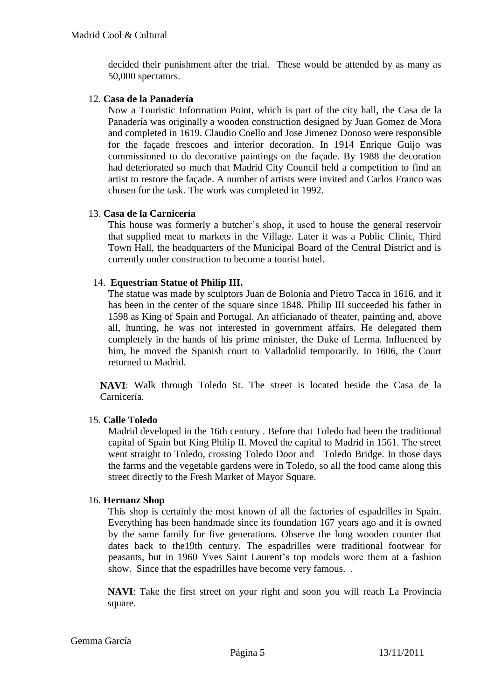decided their punishment after the trial. These would be attended by as many as 50,000 spectators.

#### 12. **Casa de la Panadería**

Now a Touristic Information Point, which is part of the city hall, the Casa de la Panadería was originally a wooden construction designed by Juan Gomez de Mora and completed in 1619. Claudio Coello and Jose Jimenez Donoso were responsible for the façade frescoes and interior decoration. In 1914 Enrique Guijo was commissioned to do decorative paintings on the façade. By 1988 the decoration had deteriorated so much that Madrid City Council held a competition to find an artist to restore the façade. A number of artists were invited and Carlos Franco was chosen for the task. The work was completed in 1992.

#### 13. **Casa de la Carnicería**

This house was formerly a butcher"s shop, it used to house the general reservoir that supplied meat to markets in the Village. Later it was a Public Clinic, Third Town Hall, the headquarters of the Municipal Board of the Central District and is currently under construction to become a tourist hotel.

#### 14. **Equestrian Statue of Philip III.**

The statue was made by sculptors Juan de Bolonia and Pietro Tacca in 1616, and it has been in the center of the square since 1848. Philip III succeeded his father in 1598 as King of Spain and Portugal. An afficianado of theater, painting and, above all, hunting, he was not interested in government affairs. He delegated them completely in the hands of his prime minister, the Duke of Lerma. Influenced by him, he moved the Spanish court to Valladolid temporarily. In 1606, the Court returned to Madrid.

**NAVI**: Walk through Toledo St. The street is located beside the Casa de la Carnicería.

### 15. **Calle Toledo**

Madrid developed in the 16th century . Before that Toledo had been the traditional capital of Spain but King Philip II. Moved the capital to Madrid in 1561. The street went straight to Toledo, crossing Toledo Door and Toledo Bridge. In those days the farms and the vegetable gardens were in Toledo, so all the food came along this street directly to the Fresh Market of Mayor Square.

#### 16. **Hernanz Shop**

This shop is certainly the most known of all the factories of espadrilles in Spain. Everything has been handmade since its foundation 167 years ago and it is owned by the same family for five generations. Observe the long wooden counter that dates back to the19th century. The espadrilles were traditional footwear for peasants, but in 1960 Yves Saint Laurent"s top models wore them at a fashion show. Since that the espadrilles have become very famous. .

**NAVI**: Take the first street on your right and soon you will reach La Provincia square.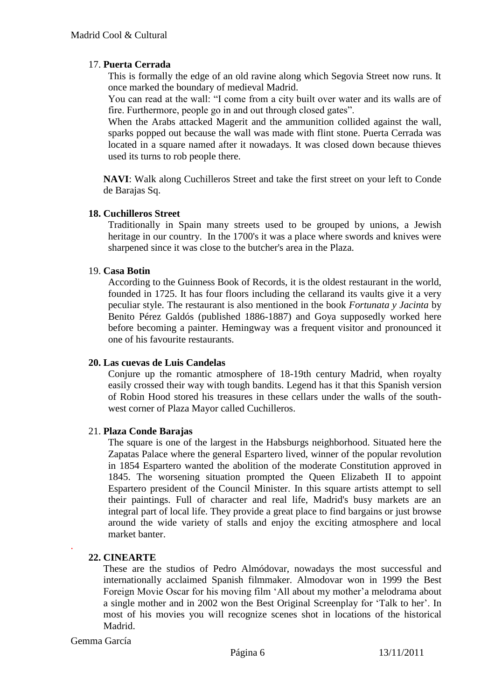## 17. **Puerta Cerrada**

This is formally the edge of an old ravine along which Segovia Street now runs. It once marked the boundary of medieval Madrid.

You can read at the wall: "I come from a city built over water and its walls are of fire. Furthermore, people go in and out through closed gates".

When the Arabs attacked Magerit and the ammunition collided against the wall, sparks popped out because the wall was made with flint stone. Puerta Cerrada was located in a square named after it nowadays. It was closed down because thieves used its turns to rob people there.

**NAVI**: Walk along Cuchilleros Street and take the first street on your left to Conde de Barajas Sq.

### **18. Cuchilleros Street**

Traditionally in Spain many streets used to be grouped by unions, a Jewish heritage in our country. In the 1700's it was a place where swords and knives were sharpened since it was close to the butcher's area in the Plaza.

### 19. **Casa Botin**

According to the Guinness Book of Records, it is the oldest restaurant in the world, founded in 1725. It has four floors including the cellarand its vaults give it a very peculiar style. The restaurant is also mentioned in the book *Fortunata y Jacinta* by Benito Pérez Galdós (published 1886-1887) and Goya supposedly worked here before becoming a painter. Hemingway was a frequent visitor and pronounced it one of his favourite restaurants.

### **20. Las cuevas de Luis Candelas**

Conjure up the romantic atmosphere of 18-19th century Madrid, when royalty easily crossed their way with tough bandits. Legend has it that this Spanish version of Robin Hood stored his treasures in these cellars under the walls of the southwest corner of Plaza Mayor called Cuchilleros.

### 21. **Plaza Conde Barajas**

The square is one of the largest in the Habsburgs neighborhood. Situated here the Zapatas Palace where the general Espartero lived, winner of the popular revolution in 1854 Espartero wanted the abolition of the moderate Constitution approved in 1845. The worsening situation prompted the Queen Elizabeth II to appoint Espartero president of the Council Minister. In this square artists attempt to sell their paintings. Full of character and real life, Madrid's busy markets are an integral part of local life. They provide a great place to find bargains or just browse around the wide variety of stalls and enjoy the exciting atmosphere and local market banter.

### **22. CINEARTE**

These are the studios of Pedro Almódovar, nowadays the most successful and internationally acclaimed Spanish filmmaker. Almodovar won in 1999 the Best Foreign Movie Oscar for his moving film 'All about my mother' a melodrama about a single mother and in 2002 won the Best Original Screenplay for "Talk to her". In most of his movies you will recognize scenes shot in locations of the historical Madrid.

#### Gemma García

.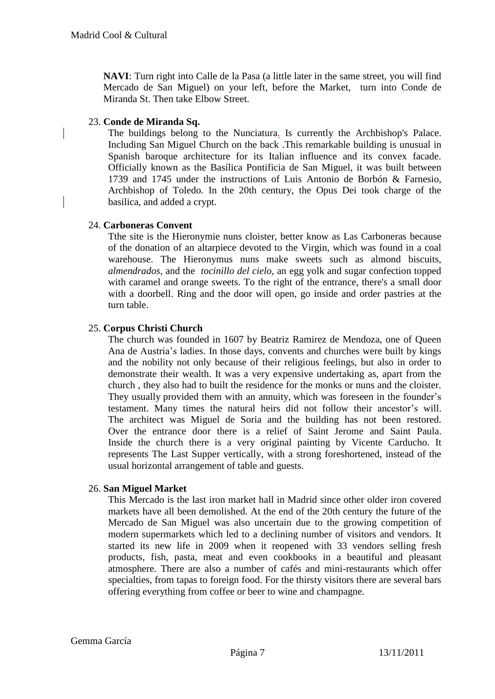**NAVI**: Turn right into Calle de la Pasa (a little later in the same street, you will find Mercado de San Miguel) on your left, before the Market, turn into Conde de Miranda St. Then take Elbow Street.

### 23. **Conde de Miranda Sq.**

The buildings belong to the Nunciatura. Is currently the Archbishop's Palace. Including San Miguel Church on the back .This remarkable building is unusual in Spanish baroque architecture for its Italian influence and its convex facade. Officially known as the Basílica Pontificia de San Miguel, it was built between 1739 and 1745 under the instructions of Luis Antonio de Borbón & Farnesio, Archbishop of Toledo. In the 20th century, the Opus Dei took charge of the basilica, and added a crypt.

#### 24. **Carboneras Convent**

Tthe site is the Hieronymie nuns cloister, better know as Las Carboneras because of the donation of an altarpiece devoted to the Virgin, which was found in a coal warehouse. The Hieronymus nuns make sweets such as almond biscuits, *almendrados,* and the *tocinillo del cielo,* an egg yolk and sugar confection topped with caramel and orange sweets. To the right of the entrance, there's a small door with a doorbell. Ring and the door will open, go inside and order pastries at the turn table.

### 25. **Corpus Christi Church**

The church was founded in 1607 by Beatriz Ramirez de Mendoza, one of Queen Ana de Austria"s ladies. In those days, convents and churches were built by kings and the nobility not only because of their religious feelings, but also in order to demonstrate their wealth. It was a very expensive undertaking as, apart from the church , they also had to built the residence for the monks or nuns and the cloister. They usually provided them with an annuity, which was foreseen in the founder's testament. Many times the natural heirs did not follow their ancestor's will. The architect was Miguel de Soria and the building has not been restored. Over the entrance door there is a relief of Saint Jerome and Saint Paula. Inside the church there is a very original painting by Vicente Carducho. It represents The Last Supper vertically, with a strong foreshortened, instead of the usual horizontal arrangement of table and guests.

### 26. **San Miguel Market**

This Mercado is the last iron market hall in Madrid since other older iron covered markets have all been demolished. At the end of the 20th century the future of the Mercado de San Miguel was also uncertain due to the growing competition of modern supermarkets which led to a declining number of visitors and vendors. It started its new life in 2009 when it reopened with 33 vendors selling fresh products, fish, pasta, meat and even cookbooks in a beautiful and pleasant atmosphere. There are also a number of cafés and mini-restaurants which offer specialties, from tapas to foreign food. For the thirsty visitors there are several bars offering everything from coffee or beer to wine and champagne.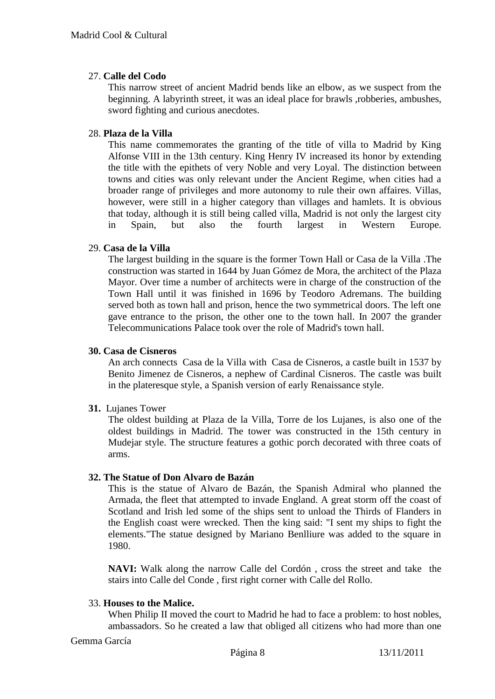### 27. **Calle del Codo**

This narrow street of ancient Madrid bends like an elbow, as we suspect from the beginning. A labyrinth street, it was an ideal place for brawls ,robberies, ambushes, sword fighting and curious anecdotes.

#### 28. **Plaza de la Villa**

This name commemorates the granting of the title of villa to Madrid by King Alfonse VIII in the 13th century. King Henry IV increased its honor by extending the title with the epithets of very Noble and very Loyal. The distinction between towns and cities was only relevant under the Ancient Regime, when cities had a broader range of privileges and more autonomy to rule their own affaires. Villas, however, were still in a higher category than villages and hamlets. It is obvious that today, although it is still being called villa, Madrid is not only the largest city in Spain, but also the fourth largest in Western Europe.

#### 29. **Casa de la Villa**

The largest building in the square is the former Town Hall or Casa de la Villa .The construction was started in 1644 by Juan Gómez de Mora, the architect of the Plaza Mayor. Over time a number of architects were in charge of the construction of the Town Hall until it was finished in 1696 by Teodoro Adremans. The building served both as town hall and prison, hence the two symmetrical doors. The left one gave entrance to the prison, the other one to the town hall. In 2007 the grander Telecommunications Palace took over the role of Madrid's town hall.

#### **30. Casa de Cisneros**

An arch connects Casa de la Villa with Casa de Cisneros, a castle built in 1537 by Benito Jimenez de Cisneros, a nephew of Cardinal Cisneros. The castle was built in the plateresque style, a Spanish version of early Renaissance style.

### **31.** Lujanes Tower

The oldest building at Plaza de la Villa, Torre de los Lujanes, is also one of the oldest buildings in Madrid. The tower was constructed in the 15th century in Mudejar style. The structure features a gothic porch decorated with three coats of arms.

#### **32. The Statue of Don Alvaro de Bazán**

This is the statue of Alvaro de Bazán, the Spanish Admiral who planned the Armada, the fleet that attempted to invade England. A great storm off the coast of Scotland and Irish led some of the ships sent to unload the Thirds of Flanders in the English coast were wrecked. Then the king said: "I sent my ships to fight the elements."The statue designed by Mariano Benlliure was added to the square in 1980.

**NAVI:** Walk along the narrow Calle del Cordón , cross the street and take the stairs into Calle del Conde , first right corner with Calle del Rollo.

#### 33. **Houses to the Malice.**

When Philip II moved the court to Madrid he had to face a problem: to host nobles, ambassadors. So he created a law that obliged all citizens who had more than one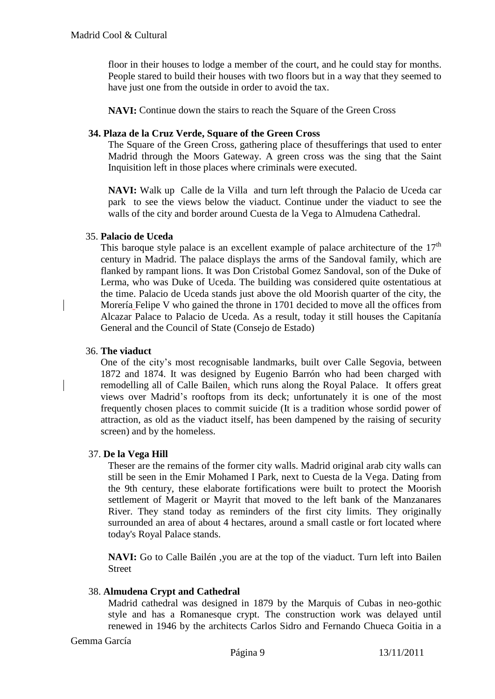floor in their houses to lodge a member of the court, and he could stay for months. People stared to build their houses with two floors but in a way that they seemed to have just one from the outside in order to avoid the tax.

**NAVI:** Continue down the stairs to reach the Square of the Green Cross

#### **34. Plaza de la Cruz Verde, Square of the Green Cross**

The Square of the Green Cross, gathering place of thesufferings that used to enter Madrid through the Moors Gateway. A green cross was the sing that the Saint Inquisition left in those places where criminals were executed.

**NAVI:** Walk up Calle de la Villa and turn left through the Palacio de Uceda car park to see the views below the viaduct. Continue under the viaduct to see the walls of the city and border around Cuesta de la Vega to Almudena Cathedral.

#### 35. **Palacio de Uceda**

This baroque style palace is an excellent example of palace architecture of the  $17<sup>th</sup>$ century in Madrid. The palace displays the arms of the Sandoval family, which are flanked by rampant lions. It was Don Cristobal Gomez Sandoval, son of the Duke of Lerma, who was Duke of Uceda. The building was considered quite ostentatious at the time. Palacio de Uceda stands just above the old Moorish quarter of the city, the Morería Felipe V who gained the throne in 1701 decided to move all the offices from Alcazar Palace to Palacio de Uceda. As a result, today it still houses the Capitanía General and the Council of State (Consejo de Estado)

#### 36. **The viaduct**

One of the city"s most recognisable landmarks, built over Calle Segovia, between 1872 and 1874. It was designed by Eugenio Barrón who had been charged with remodelling all of Calle Bailen, which runs along the Royal Palace. It offers great views over Madrid"s rooftops from its deck; unfortunately it is one of the most frequently chosen places to commit suicide (It is a tradition whose sordid power of attraction, as old as the viaduct itself, has been dampened by the raising of security screen) and by the homeless.

### 37. **De la Vega Hill**

Theser are the remains of the former city walls. Madrid original arab city walls can still be seen in the Emir Mohamed I Park, next to Cuesta de la Vega. Dating from the 9th century, these elaborate fortifications were built to protect the Moorish settlement of Magerit or Mayrit that moved to the left bank of the Manzanares River. They stand today as reminders of the first city limits. They originally surrounded an area of about 4 hectares, around a small castle or fort located where today's Royal Palace stands.

**NAVI:** Go to Calle Bailén ,you are at the top of the viaduct. Turn left into Bailen Street

### 38. **Almudena Crypt and Cathedral**

Madrid cathedral was designed in 1879 by the Marquis of Cubas in neo-gothic style and has a Romanesque crypt. The construction work was delayed until renewed in 1946 by the architects Carlos Sidro and Fernando Chueca Goitia in a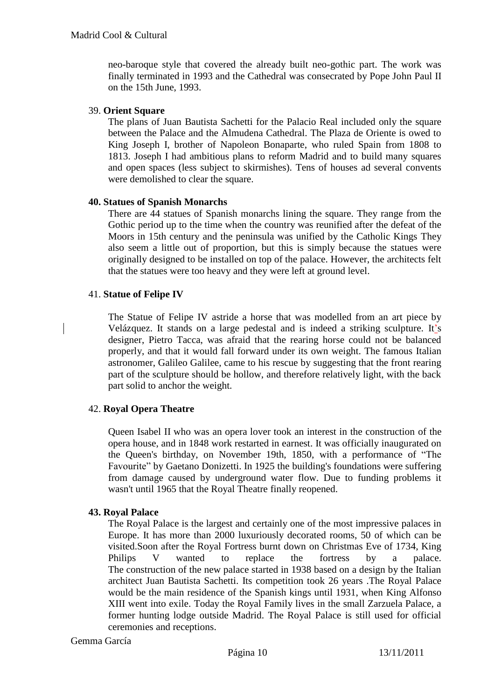neo-baroque style that covered the already built neo-gothic part. The work was finally terminated in 1993 and the Cathedral was consecrated by Pope John Paul II on the 15th June, 1993.

#### 39. **Orient Square**

The plans of Juan Bautista Sachetti for the Palacio Real included only the square between the Palace and the Almudena Cathedral. The Plaza de Oriente is owed to King Joseph I, brother of Napoleon Bonaparte, who ruled Spain from 1808 to 1813. Joseph I had ambitious plans to reform Madrid and to build many squares and open spaces (less subject to skirmishes). Tens of houses ad several convents were demolished to clear the square.

#### **40. Statues of Spanish Monarchs**

There are 44 statues of Spanish monarchs lining the square. They range from the Gothic period up to the time when the country was reunified after the defeat of the Moors in 15th century and the peninsula was unified by the Catholic Kings They also seem a little out of proportion, but this is simply because the statues were originally designed to be installed on top of the palace. However, the architects felt that the statues were too heavy and they were left at ground level.

#### 41. **Statue of Felipe IV**

The Statue of Felipe IV astride a horse that was modelled from an art piece by Velázquez. It stands on a large pedestal and is indeed a striking sculpture. It"s designer, Pietro Tacca, was afraid that the rearing horse could not be balanced properly, and that it would fall forward under its own weight. The famous Italian astronomer, Galileo Galilee, came to his rescue by suggesting that the front rearing part of the sculpture should be hollow, and therefore relatively light, with the back part solid to anchor the weight.

### 42. **Royal Opera Theatre**

Queen Isabel II who was an opera lover took an interest in the construction of the opera house, and in 1848 work restarted in earnest. It was officially inaugurated on the Queen's birthday, on November 19th, 1850, with a performance of "The Favourite" by Gaetano Donizetti. In 1925 the building's foundations were suffering from damage caused by underground water flow. Due to funding problems it wasn't until 1965 that the Royal Theatre finally reopened.

#### **43. Royal Palace**

The Royal Palace is the largest and certainly one of the most impressive palaces in Europe. It has more than 2000 luxuriously decorated rooms, 50 of which can be visited.Soon after the Royal Fortress burnt down on Christmas Eve of 1734, King Philips V wanted to replace the fortress by a palace. The construction of the new palace started in 1938 based on a design by the Italian architect Juan Bautista Sachetti. Its competition took 26 years .The Royal Palace would be the main residence of the Spanish kings until 1931, when King Alfonso XIII went into exile. Today the Royal Family lives in the small Zarzuela Palace, a former hunting lodge outside Madrid. The Royal Palace is still used for official ceremonies and receptions.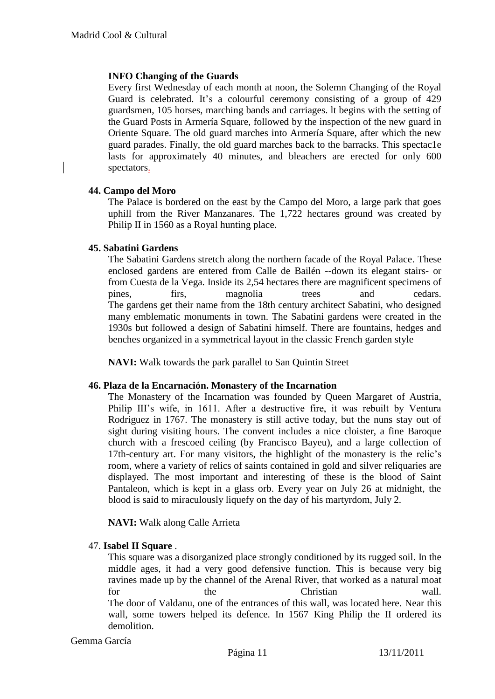#### **INFO Changing of the Guards**

Every first Wednesday of each month at noon, the Solemn Changing of the Royal Guard is celebrated. It's a colourful ceremony consisting of a group of 429 guardsmen, 105 horses, marching bands and carriages. lt begins with the setting of the Guard Posts in Armería Square, followed by the inspection of the new guard in Oriente Square. The old guard marches into Armería Square, after which the new guard parades. Finally, the old guard marches back to the barracks. This spectac1e lasts for approximately 40 minutes, and bleachers are erected for only 600 spectators.

#### **44. Campo del Moro**

The Palace is bordered on the east by the Campo del Moro, a large park that goes uphill from the River Manzanares. The 1,722 hectares ground was created by Philip II in 1560 as a Royal hunting place.

#### **45. Sabatini Gardens**

The Sabatini Gardens stretch along the northern facade of the Royal Palace. These enclosed gardens are entered from Calle de Bailén --down its elegant stairs- or from Cuesta de la Vega. Inside its 2,54 hectares there are magnificent specimens of pines, firs, magnolia trees and cedars. The gardens get their name from the 18th century architect Sabatini, who designed many emblematic monuments in town. The Sabatini gardens were created in the 1930s but followed a design of Sabatini himself. There are fountains, hedges and benches organized in a symmetrical layout in the classic French garden style

**NAVI:** Walk towards the park parallel to San Quintin Street

#### **46. Plaza de la Encarnación. Monastery of the Incarnation**

The Monastery of the Incarnation was founded by Queen Margaret of Austria, Philip III's wife, in 1611. After a destructive fire, it was rebuilt by Ventura Rodriguez in 1767. The monastery is still active today, but the nuns stay out of sight during visiting hours. The convent includes a nice cloister, a fine Baroque church with a frescoed ceiling (by Francisco Bayeu), and a large collection of 17th-century art. For many visitors, the highlight of the monastery is the relic"s room, where a variety of relics of saints contained in gold and silver reliquaries are displayed. The most important and interesting of these is the blood of Saint Pantaleon, which is kept in a glass orb. Every year on July 26 at midnight, the blood is said to miraculously liquefy on the day of his martyrdom, July 2.

**NAVI:** Walk along Calle Arrieta

### 47. **Isabel II Square** .

This square was a disorganized place strongly conditioned by its rugged soil. In the middle ages, it had a very good defensive function. This is because very big ravines made up by the channel of the Arenal River, that worked as a natural moat for the the Christian wall. The door of Valdanu, one of the entrances of this wall, was located here. Near this wall, some towers helped its defence. In 1567 King Philip the II ordered its demolition.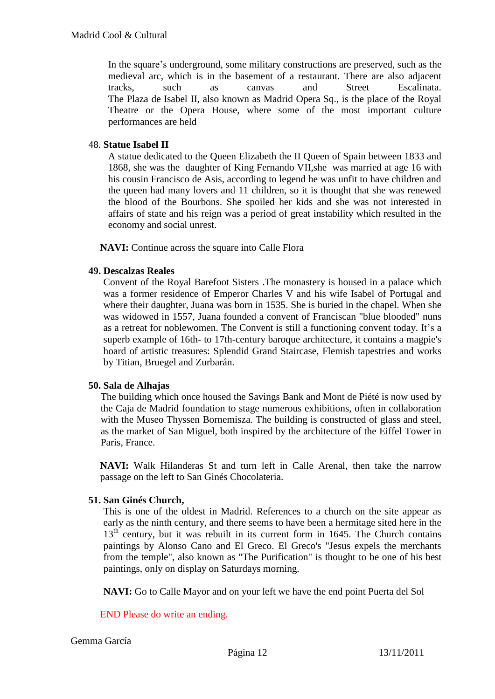In the square"s underground, some military constructions are preserved, such as the medieval arc, which is in the basement of a restaurant. There are also adjacent tracks, such as canvas and Street Escalinata. The Plaza de Isabel II, also known as Madrid Opera Sq., is the place of the Royal Theatre or the Opera House, where some of the most important culture performances are held

## 48. **Statue Isabel II**

A statue dedicated to the Queen Elizabeth the II Queen of Spain between 1833 and 1868, she was the daughter of King Fernando VII,she was married at age 16 with his cousin Francisco de Asis, according to legend he was unfit to have children and the queen had many lovers and 11 children, so it is thought that she was renewed the blood of the Bourbons. She spoiled her kids and she was not interested in affairs of state and his reign was a period of great instability which resulted in the economy and social unrest.

**NAVI:** Continue across the square into Calle Flora

### **49. Descalzas Reales**

Convent of the Royal Barefoot Sisters .The monastery is housed in a palace which was a former residence of Emperor Charles V and his wife Isabel of Portugal and where their daughter, Juana was born in 1535. She is buried in the chapel. When she was widowed in 1557, Juana founded a convent of Franciscan "blue blooded" nuns as a retreat for noblewomen. The Convent is still a functioning convent today. It"s a superb example of 16th- to 17th-century baroque architecture, it contains a magpie's hoard of artistic treasures: Splendid Grand Staircase, Flemish tapestries and works by Titian, Bruegel and Zurbarán.

### **50. Sala de Alhajas**

The building which once housed the Savings Bank and Mont de Piété is now used by the Caja de Madrid foundation to stage numerous exhibitions, often in collaboration with the Museo Thyssen Bornemisza. The building is constructed of glass and steel, as the market of San Miguel, both inspired by the architecture of the Eiffel Tower in Paris, France.

**NAVI:** Walk Hilanderas St and turn left in Calle Arenal, then take the narrow passage on the left to San Ginés Chocolateria.

### **51. San Ginés Church,**

This is one of the oldest in Madrid. References to a church on the site appear as early as the ninth century, and there seems to have been a hermitage sited here in the  $13<sup>th</sup>$  century, but it was rebuilt in its current form in 1645. The Church contains paintings by Alonso Cano and El Greco. El Greco's "Jesus expels the merchants from the temple", also known as "The Purification" is thought to be one of his best paintings, only on display on Saturdays morning.

**NAVI:** Go to Calle Mayor and on your left we have the end point Puerta del Sol

END Please do write an ending.